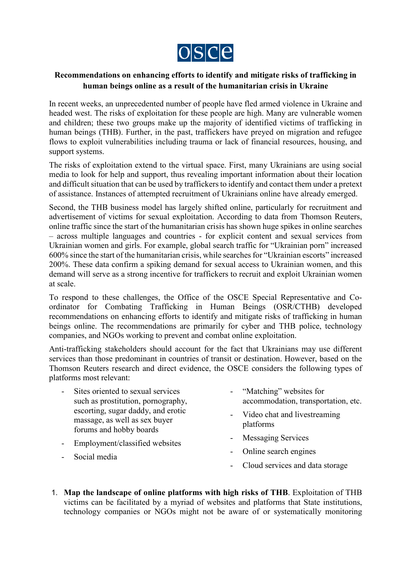

## **Recommendations on enhancing efforts to identify and mitigate risks of trafficking in human beings online as a result of the humanitarian crisis in Ukraine**

In recent weeks, an unprecedented number of people have fled armed violence in Ukraine and headed west. The risks of exploitation for these people are high. Many are vulnerable women and children; these two groups make up the majority of identified victims of trafficking in human beings (THB). Further, in the past, traffickers have preyed on migration and refugee flows to exploit vulnerabilities including trauma or lack of financial resources, housing, and support systems.

The risks of exploitation extend to the virtual space. First, many Ukrainians are using social media to look for help and support, thus revealing important information about their location and difficult situation that can be used by traffickers to identify and contact them under a pretext of assistance. Instances of attempted recruitment of Ukrainians online have already emerged.

Second, the THB business model has largely shifted online, particularly for recruitment and advertisement of victims for sexual exploitation. According to data from Thomson Reuters, online traffic since the start of the humanitarian crisis has shown huge spikes in online searches – across multiple languages and countries - for explicit content and sexual services from Ukrainian women and girls. For example, global search traffic for "Ukrainian porn" increased 600% since the start of the humanitarian crisis, while searches for "Ukrainian escorts" increased 200%. These data confirm a spiking demand for sexual access to Ukrainian women, and this demand will serve as a strong incentive for traffickers to recruit and exploit Ukrainian women at scale.

To respond to these challenges, the Office of the OSCE Special Representative and Coordinator for Combating Trafficking in Human Beings (OSR/CTHB) developed recommendations on enhancing efforts to identify and mitigate risks of trafficking in human beings online. The recommendations are primarily for cyber and THB police, technology companies, and NGOs working to prevent and combat online exploitation.

Anti-trafficking stakeholders should account for the fact that Ukrainians may use different services than those predominant in countries of transit or destination. However, based on the Thomson Reuters research and direct evidence, the OSCE considers the following types of platforms most relevant:

- Sites oriented to sexual services such as prostitution, pornography, escorting, sugar daddy, and erotic massage, as well as sex buyer forums and hobby boards
- Employment/classified websites
- Social media
- "Matching" websites for accommodation, transportation, etc.
- Video chat and livestreaming platforms
- Messaging Services
- Online search engines
- Cloud services and data storage
- 1. **Map the landscape of online platforms with high risks of THB**. Exploitation of THB victims can be facilitated by a myriad of websites and platforms that State institutions, technology companies or NGOs might not be aware of or systematically monitoring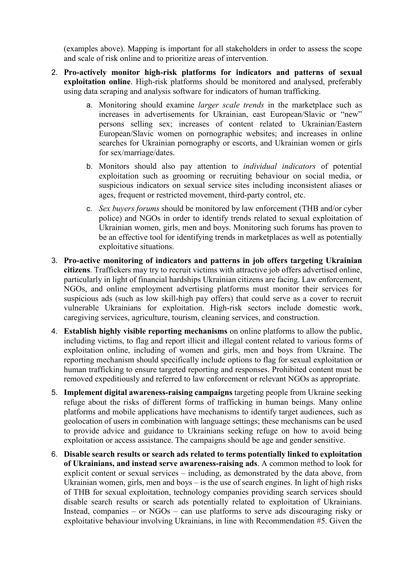(examples above). Mapping is important for all stakeholders in order to assess the scope and scale of risk online and to prioritize areas of intervention.

- 2. **Pro-actively monitor high-risk platforms for indicators and patterns of sexual exploitation online**. High-risk platforms should be monitored and analysed, preferably using data scraping and analysis software for indicators of human trafficking.
	- a. Monitoring should examine *larger scale trends* in the marketplace such as increases in advertisements for Ukrainian, east European/Slavic or "new" persons selling sex; increases of content related to Ukrainian/Eastern European/Slavic women on pornographic websites; and increases in online searches for Ukrainian pornography or escorts, and Ukrainian women or girls for sex/marriage/dates.
	- b. Monitors should also pay attention to *individual indicators* of potential exploitation such as grooming or recruiting behaviour on social media, or suspicious indicators on sexual service sites including inconsistent aliases or ages, frequent or restricted movement, third-party control, etc.
	- c. *Sex buyers forums* should be monitored by law enforcement (THB and/or cyber police) and NGOs in order to identify trends related to sexual exploitation of Ukrainian women, girls, men and boys. Monitoring such forums has proven to be an effective tool for identifying trends in marketplaces as well as potentially exploitative situations.
- 3. **Pro-active monitoring of indicators and patterns in job offers targeting Ukrainian citizens**. Traffickers may try to recruit victims with attractive job offers advertised online, particularly in light of financial hardships Ukrainian citizens are facing. Law enforcement, NGOs, and online employment advertising platforms must monitor their services for suspicious ads (such as low skill-high pay offers) that could serve as a cover to recruit vulnerable Ukrainians for exploitation. High-risk sectors include domestic work, caregiving services, agriculture, tourism, cleaning services, and construction.
- 4. **Establish highly visible reporting mechanisms** on online platforms to allow the public, including victims, to flag and report illicit and illegal content related to various forms of exploitation online, including of women and girls, men and boys from Ukraine. The reporting mechanism should specifically include options to flag for sexual exploitation or human trafficking to ensure targeted reporting and responses. Prohibited content must be removed expeditiously and referred to law enforcement or relevant NGOs as appropriate.
- 5. **Implement digital awareness-raising campaigns** targeting people from Ukraine seeking refuge about the risks of different forms of trafficking in human beings. Many online platforms and mobile applications have mechanisms to identify target audiences, such as geolocation of users in combination with language settings; these mechanisms can be used to provide advice and guidance to Ukrainians seeking refuge on how to avoid being exploitation or access assistance. The campaigns should be age and gender sensitive.
- 6. **Disable search results or search ads related to terms potentially linked to exploitation of Ukrainians, and instead serve awareness-raising ads**. A common method to look for explicit content or sexual services – including, as demonstrated by the data above, from Ukrainian women, girls, men and boys – is the use of search engines. In light of high risks of THB for sexual exploitation, technology companies providing search services should disable search results or search ads potentially related to exploitation of Ukrainians. Instead, companies – or NGOs – can use platforms to serve ads discouraging risky or exploitative behaviour involving Ukrainians, in line with Recommendation #5. Given the